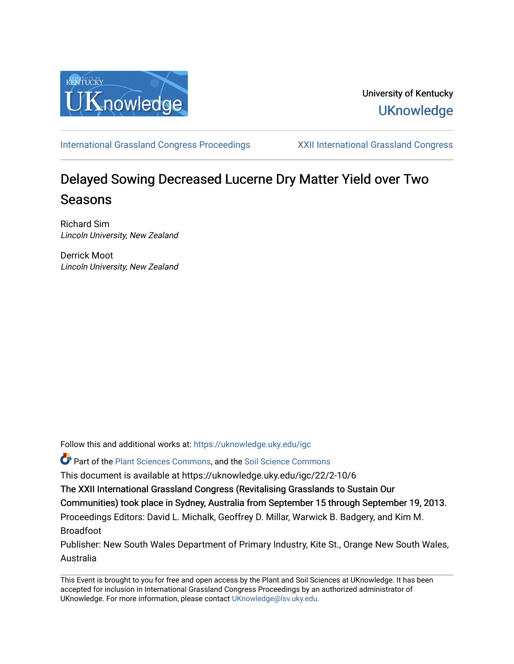

## University of Kentucky **UKnowledge**

[International Grassland Congress Proceedings](https://uknowledge.uky.edu/igc) [XXII International Grassland Congress](https://uknowledge.uky.edu/igc/22) 

# Delayed Sowing Decreased Lucerne Dry Matter Yield over Two Seasons

Richard Sim Lincoln University, New Zealand

Derrick Moot Lincoln University, New Zealand

Follow this and additional works at: [https://uknowledge.uky.edu/igc](https://uknowledge.uky.edu/igc?utm_source=uknowledge.uky.edu%2Figc%2F22%2F2-10%2F6&utm_medium=PDF&utm_campaign=PDFCoverPages) 

Part of the [Plant Sciences Commons](http://network.bepress.com/hgg/discipline/102?utm_source=uknowledge.uky.edu%2Figc%2F22%2F2-10%2F6&utm_medium=PDF&utm_campaign=PDFCoverPages), and the [Soil Science Commons](http://network.bepress.com/hgg/discipline/163?utm_source=uknowledge.uky.edu%2Figc%2F22%2F2-10%2F6&utm_medium=PDF&utm_campaign=PDFCoverPages) 

This document is available at https://uknowledge.uky.edu/igc/22/2-10/6

The XXII International Grassland Congress (Revitalising Grasslands to Sustain Our

Communities) took place in Sydney, Australia from September 15 through September 19, 2013.

Proceedings Editors: David L. Michalk, Geoffrey D. Millar, Warwick B. Badgery, and Kim M. Broadfoot

Publisher: New South Wales Department of Primary Industry, Kite St., Orange New South Wales, Australia

This Event is brought to you for free and open access by the Plant and Soil Sciences at UKnowledge. It has been accepted for inclusion in International Grassland Congress Proceedings by an authorized administrator of UKnowledge. For more information, please contact [UKnowledge@lsv.uky.edu](mailto:UKnowledge@lsv.uky.edu).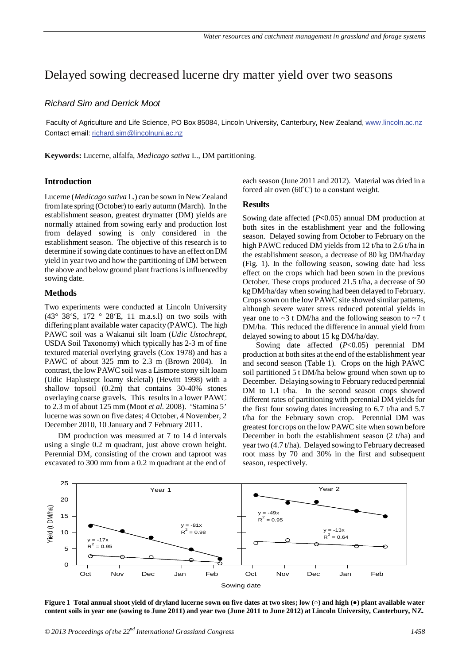### Delayed sowing decreased lucerne dry matter yield over two seasons

#### *Richard Sim and Derrick Moot*

Faculty of Agriculture and Life Science, PO Box 85084, Lincoln University, Canterbury, New Zealand, <u>www.lincoln.ac.nz</u> Contact email: richard.sim@lincolnuni.ac.nz

**Keywords:** Lucerne, alfalfa, *Medicago sativa* L., DM partitioning.

#### **Introduction**

Lucerne (*Medicago sativa* L.) can be sown in New Zealand from late spring (October) to early autumn (March). In the establishment season, greatest drymatter (DM) yields are normally attained from sowing early and production lost from delayed sowing is only considered in the establishment season. The objective of this research is to determine if sowing date continues to have an effect on DM yield in year two and how the partitioning of DM between the above and below ground plant fractions is influenced by sowing date.

#### **Methods**

Two experiments were conducted at Lincoln University (43° 38'S, 172 ° 28'E, 11 m.a.s.l) on two soils with differing plant available water capacity (PAWC). The high PAWC soil was a Wakanui silt loam (*Udic Ustochrept*, USDA Soil Taxonomy) which typically has 2-3 m of fine textured material overlying gravels (Cox 1978) and has a PAWC of about 325 mm to 2.3 m (Brown 2004). In contrast, the low PAWC soil was a Lismore stony silt loam (Udic Haplustept loamy skeletal) (Hewitt 1998) with a shallow topsoil (0.2m) that contains 30-40% stones overlaying coarse gravels. This results in a lower PAWC to 2.3 m of about 125 mm (Moot *et al.* 2008). 'Stamina 5' lucerne was sown on five dates; 4 October, 4 November, 2 December 2010, 10 January and 7 February 2011.

DM production was measured at 7 to 14 d intervals using a single 0.2 m quadrant, just above crown height. Perennial DM, consisting of the crown and taproot was excavated to 300 mm from a 0.2 m quadrant at the end of each season (June 2011 and 2012). Material was dried in a forced air oven  $(60^{\circ}C)$  to a constant weight.

#### **Results**

Sowing date affected (*P***<**0.05) annual DM production at both sites in the establishment year and the following season. Delayed sowing from October to February on the high PAWC reduced DM yields from 12 t/ha to 2.6 t/ha in the establishment season, a decrease of 80 kg DM/ha/day (Fig. 1). In the following season, sowing date had less effect on the crops which had been sown in the previous October. These crops produced 21.5 t/ha, a decrease of 50 kg DM/ha/day when sowing had been delayed to February. Crops sown on the low PAWC site showed similar patterns, although severe water stress reduced potential yields in year one to  $\sim$ 3 t DM/ha and the following season to  $\sim$ 7 t DM/ha. This reduced the difference in annual yield from delayed sowing to about 15 kg DM/ha/day.

Sowing date affected (*P*<0.05) perennial DM production at both sites at the end of the establishment year and second season (Table 1). Crops on the high PAWC soil partitioned 5 t DM/ha below ground when sown up to December. Delaying sowing to February reduced perennial DM to 1.1 t/ha. In the second season crops showed different rates of partitioning with perennial DM yields for the first four sowing dates increasing to 6.7 t/ha and 5.7 t/ha for the February sown crop. Perennial DM was greatest for crops on the low PAWC site when sown before December in both the establishment season (2 t/ha) and year two (4.7 t/ha). Delayed sowing to February decreased root mass by 70 and 30% in the first and subsequent season, respectively.



**Figure 1 Total annual shoot yield of dryland lucerne sown on five dates at two sites; low (○) and high (●) plant available water content soils in year one (sowing to June 2011) and year two (June 2011 to June 2012) at Lincoln University, Canterbury, NZ.**